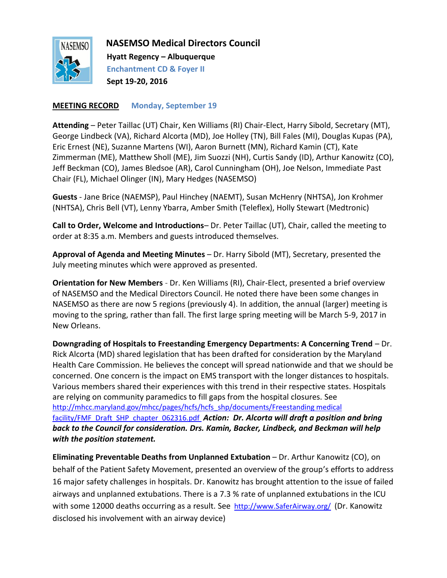

 **NASEMSO Medical Directors Council**

 **Hyatt Regency – Albuquerque Enchantment CD & Foyer II Sept 19-20, 2016**

#### **MEETING RECORD Monday, September 19**

**Attending** – Peter Taillac (UT) Chair, Ken Williams (RI) Chair-Elect, Harry Sibold, Secretary (MT), George Lindbeck (VA), Richard Alcorta (MD), Joe Holley (TN), Bill Fales (MI), Douglas Kupas (PA), Eric Ernest (NE), Suzanne Martens (WI), Aaron Burnett (MN), Richard Kamin (CT), Kate Zimmerman (ME), Matthew Sholl (ME), Jim Suozzi (NH), Curtis Sandy (ID), Arthur Kanowitz (CO), Jeff Beckman (CO), James Bledsoe (AR), Carol Cunningham (OH), Joe Nelson, Immediate Past Chair (FL), Michael Olinger (IN), Mary Hedges (NASEMSO)

**Guests** - Jane Brice (NAEMSP), Paul Hinchey (NAEMT), Susan McHenry (NHTSA), Jon Krohmer (NHTSA), Chris Bell (VT), Lenny Ybarra, Amber Smith (Teleflex), Holly Stewart (Medtronic)

**Call to Order, Welcome and Introductions**– Dr. Peter Taillac (UT), Chair, called the meeting to order at 8:35 a.m. Members and guests introduced themselves.

**Approval of Agenda and Meeting Minutes** – Dr. Harry Sibold (MT), Secretary, presented the July meeting minutes which were approved as presented.

**Orientation for New Members** - Dr. Ken Williams (RI), Chair-Elect, presented a brief overview of NASEMSO and the Medical Directors Council. He noted there have been some changes in NASEMSO as there are now 5 regions (previously 4). In addition, the annual (larger) meeting is moving to the spring, rather than fall. The first large spring meeting will be March 5-9, 2017 in New Orleans.

**Downgrading of Hospitals to Freestanding Emergency Departments: A Concerning Trend** – Dr. Rick Alcorta (MD) shared legislation that has been drafted for consideration by the Maryland Health Care Commission. He believes the concept will spread nationwide and that we should be concerned. One concern is the impact on EMS transport with the longer distances to hospitals. Various members shared their experiences with this trend in their respective states. Hospitals are relying on community paramedics to fill gaps from the hospital closures. See [http://mhcc.maryland.gov/mhcc/pages/hcfs/hcfs\\_shp/documents/Freestanding medical](http://mhcc.maryland.gov/mhcc/pages/hcfs/hcfs_shp/documents/Freestanding%20medical%20facility/FMF_Draft_SHP_chapter_062316.pdf)  [facility/FMF\\_Draft\\_SHP\\_chapter\\_062316.pdf](http://mhcc.maryland.gov/mhcc/pages/hcfs/hcfs_shp/documents/Freestanding%20medical%20facility/FMF_Draft_SHP_chapter_062316.pdf) *Action: Dr. Alcorta will draft a position and bring back to the Council for consideration. Drs. Kamin, Backer, Lindbeck, and Beckman will help with the position statement.*

**Eliminating Preventable Deaths from Unplanned Extubation** – Dr. Arthur Kanowitz (CO), on behalf of the Patient Safety Movement, presented an overview of the group's efforts to address 16 major safety challenges in hospitals. Dr. Kanowitz has brought attention to the issue of failed airways and unplanned extubations. There is a 7.3 % rate of unplanned extubations in the ICU with some 12000 deaths occurring as a result. See [http://www.SaferAirway.org/](http://www.saferairway.org/) (Dr. Kanowitz disclosed his involvement with an airway device)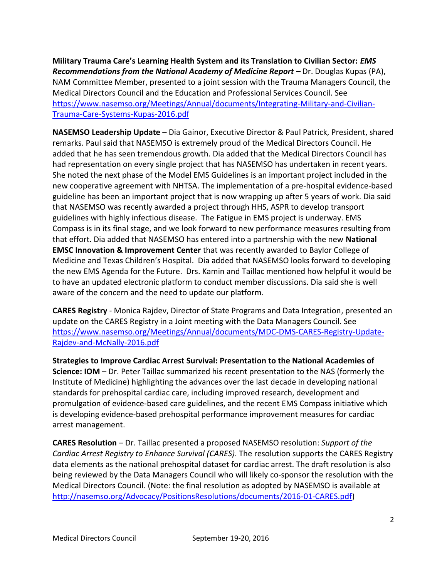**Military Trauma Care's Learning Health System and its Translation to Civilian Sector:** *EMS Recommendations from the National Academy of Medicine Report – Dr. Douglas Kupas (PA),* NAM Committee Member, presented to a joint session with the Trauma Managers Council, the Medical Directors Council and the Education and Professional Services Council. See [https://www.nasemso.org/Meetings/Annual/documents/Integrating-Military-and-Civilian-](https://www.nasemso.org/Meetings/Annual/documents/Integrating-Military-and-Civilian-Trauma-Care-Systems-Kupas-2016.pdf)[Trauma-Care-Systems-Kupas-2016.pdf](https://www.nasemso.org/Meetings/Annual/documents/Integrating-Military-and-Civilian-Trauma-Care-Systems-Kupas-2016.pdf)

**NASEMSO Leadership Update** – Dia Gainor, Executive Director & Paul Patrick, President, shared remarks. Paul said that NASEMSO is extremely proud of the Medical Directors Council. He added that he has seen tremendous growth. Dia added that the Medical Directors Council has had representation on every single project that has NASEMSO has undertaken in recent years. She noted the next phase of the Model EMS Guidelines is an important project included in the new cooperative agreement with NHTSA. The implementation of a pre-hospital evidence-based guideline has been an important project that is now wrapping up after 5 years of work. Dia said that NASEMSO was recently awarded a project through HHS, ASPR to develop transport guidelines with highly infectious disease. The Fatigue in EMS project is underway. EMS Compass is in its final stage, and we look forward to new performance measures resulting from that effort. Dia added that NASEMSO has entered into a partnership with the new **National EMSC Innovation & Improvement Center** that was recently awarded to Baylor College of Medicine and Texas Children's Hospital. Dia added that NASEMSO looks forward to developing the new EMS Agenda for the Future. Drs. Kamin and Taillac mentioned how helpful it would be to have an updated electronic platform to conduct member discussions. Dia said she is well aware of the concern and the need to update our platform.

**CARES Registry** - Monica Rajdev, Director of State Programs and Data Integration, presented an update on the CARES Registry in a Joint meeting with the Data Managers Council. See [https://www.nasemso.org/Meetings/Annual/documents/MDC-DMS-CARES-Registry-Update-](https://www.nasemso.org/Meetings/Annual/documents/MDC-DMS-CARES-Registry-Update-Rajdev-and-McNally-2016.pdf)[Rajdev-and-McNally-2016.pdf](https://www.nasemso.org/Meetings/Annual/documents/MDC-DMS-CARES-Registry-Update-Rajdev-and-McNally-2016.pdf)

**Strategies to Improve Cardiac Arrest Survival: Presentation to the National Academies of Science: IOM** – Dr. Peter Taillac summarized his recent presentation to the NAS (formerly the Institute of Medicine) highlighting the advances over the last decade in developing national standards for prehospital cardiac care, including improved research, development and promulgation of evidence-based care guidelines, and the recent EMS Compass initiative which is developing evidence-based prehospital performance improvement measures for cardiac arrest management.

**CARES Resolution** – Dr. Taillac presented a proposed NASEMSO resolution: *Support of the Cardiac Arrest Registry to Enhance Survival (CARES)*. The resolution supports the CARES Registry data elements as the national prehospital dataset for cardiac arrest. The draft resolution is also being reviewed by the Data Managers Council who will likely co-sponsor the resolution with the Medical Directors Council. (Note: the final resolution as adopted by NASEMSO is available at [http://nasemso.org/Advocacy/PositionsResolutions/documents/2016-01-CARES.pdf\)](http://nasemso.org/Advocacy/PositionsResolutions/documents/2016-01-CARES.pdf)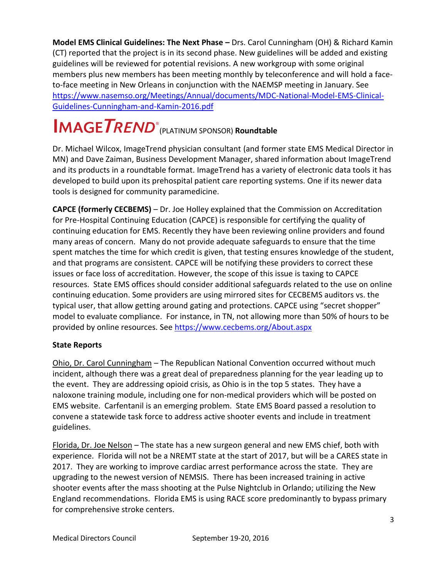**Model EMS Clinical Guidelines: The Next Phase –** Drs. Carol Cunningham (OH) & Richard Kamin (CT) reported that the project is in its second phase. New guidelines will be added and existing guidelines will be reviewed for potential revisions. A new workgroup with some original members plus new members has been meeting monthly by teleconference and will hold a faceto-face meeting in New Orleans in conjunction with the NAEMSP meeting in January. See [https://www.nasemso.org/Meetings/Annual/documents/MDC-National-Model-EMS-Clinical-](https://www.nasemso.org/Meetings/Annual/documents/MDC-National-Model-EMS-Clinical-Guidelines-Cunningham-and-Kamin-2016.pdf)[Guidelines-Cunningham-and-Kamin-2016.pdf](https://www.nasemso.org/Meetings/Annual/documents/MDC-National-Model-EMS-Clinical-Guidelines-Cunningham-and-Kamin-2016.pdf)

# (PLATINUM SPONSOR) **Roundtable ®**

Dr. Michael Wilcox, ImageTrend physician consultant (and former state EMS Medical Director in MN) and Dave Zaiman, Business Development Manager, shared information about ImageTrend and its products in a roundtable format. ImageTrend has a variety of electronic data tools it has developed to build upon its prehospital patient care reporting systems. One if its newer data tools is designed for community paramedicine.

**CAPCE (formerly CECBEMS)** – Dr. Joe Holley explained that the Commission on Accreditation for Pre-Hospital Continuing Education (CAPCE) is responsible for certifying the quality of continuing education for EMS. Recently they have been reviewing online providers and found many areas of concern. Many do not provide adequate safeguards to ensure that the time spent matches the time for which credit is given, that testing ensures knowledge of the student, and that programs are consistent. CAPCE will be notifying these providers to correct these issues or face loss of accreditation. However, the scope of this issue is taxing to CAPCE resources. State EMS offices should consider additional safeguards related to the use on online continuing education. Some providers are using mirrored sites for CECBEMS auditors vs. the typical user, that allow getting around gating and protections. CAPCE using "secret shopper" model to evaluate compliance. For instance, in TN, not allowing more than 50% of hours to be provided by online resources. See<https://www.cecbems.org/About.aspx>

# **State Reports**

Ohio, Dr. Carol Cunningham – The Republican National Convention occurred without much incident, although there was a great deal of preparedness planning for the year leading up to the event. They are addressing opioid crisis, as Ohio is in the top 5 states. They have a naloxone training module, including one for non-medical providers which will be posted on EMS website. Carfentanil is an emerging problem. State EMS Board passed a resolution to convene a statewide task force to address active shooter events and include in treatment guidelines.

Florida, Dr. Joe Nelson – The state has a new surgeon general and new EMS chief, both with experience. Florida will not be a NREMT state at the start of 2017, but will be a CARES state in 2017. They are working to improve cardiac arrest performance across the state. They are upgrading to the newest version of NEMSIS. There has been increased training in active shooter events after the mass shooting at the Pulse Nightclub in Orlando; utilizing the New England recommendations. Florida EMS is using RACE score predominantly to bypass primary for comprehensive stroke centers.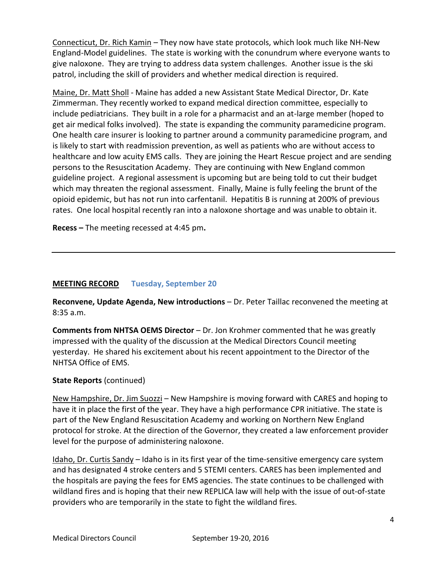Connecticut, Dr. Rich Kamin – They now have state protocols, which look much like NH-New England-Model guidelines. The state is working with the conundrum where everyone wants to give naloxone. They are trying to address data system challenges. Another issue is the ski patrol, including the skill of providers and whether medical direction is required.

Maine, Dr. Matt Sholl - Maine has added a new Assistant State Medical Director, Dr. Kate Zimmerman. They recently worked to expand medical direction committee, especially to include pediatricians. They built in a role for a pharmacist and an at-large member (hoped to get air medical folks involved). The state is expanding the community paramedicine program. One health care insurer is looking to partner around a community paramedicine program, and is likely to start with readmission prevention, as well as patients who are without access to healthcare and low acuity EMS calls. They are joining the Heart Rescue project and are sending persons to the Resuscitation Academy. They are continuing with New England common guideline project. A regional assessment is upcoming but are being told to cut their budget which may threaten the regional assessment. Finally, Maine is fully feeling the brunt of the opioid epidemic, but has not run into carfentanil. Hepatitis B is running at 200% of previous rates. One local hospital recently ran into a naloxone shortage and was unable to obtain it.

**Recess –** The meeting recessed at 4:45 pm**.**

#### **MEETING RECORD Tuesday, September 20**

**Reconvene, Update Agenda, New introductions** – Dr. Peter Taillac reconvened the meeting at 8:35 a.m.

**Comments from NHTSA OEMS Director** – Dr. Jon Krohmer commented that he was greatly impressed with the quality of the discussion at the Medical Directors Council meeting yesterday. He shared his excitement about his recent appointment to the Director of the NHTSA Office of EMS.

#### **State Reports** (continued)

New Hampshire, Dr. Jim Suozzi – New Hampshire is moving forward with CARES and hoping to have it in place the first of the year. They have a high performance CPR initiative. The state is part of the New England Resuscitation Academy and working on Northern New England protocol for stroke. At the direction of the Governor, they created a law enforcement provider level for the purpose of administering naloxone.

Idaho, Dr. Curtis Sandy – Idaho is in its first year of the time-sensitive emergency care system and has designated 4 stroke centers and 5 STEMI centers. CARES has been implemented and the hospitals are paying the fees for EMS agencies. The state continues to be challenged with wildland fires and is hoping that their new REPLICA law will help with the issue of out-of-state providers who are temporarily in the state to fight the wildland fires.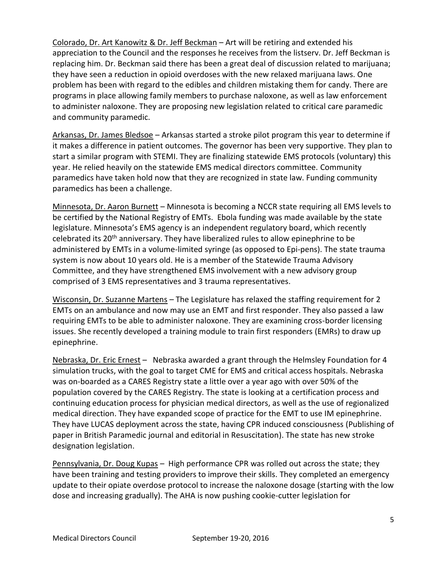Colorado, Dr. Art Kanowitz & Dr. Jeff Beckman – Art will be retiring and extended his appreciation to the Council and the responses he receives from the listserv. Dr. Jeff Beckman is replacing him. Dr. Beckman said there has been a great deal of discussion related to marijuana; they have seen a reduction in opioid overdoses with the new relaxed marijuana laws. One problem has been with regard to the edibles and children mistaking them for candy. There are programs in place allowing family members to purchase naloxone, as well as law enforcement to administer naloxone. They are proposing new legislation related to critical care paramedic and community paramedic.

Arkansas, Dr. James Bledsoe – Arkansas started a stroke pilot program this year to determine if it makes a difference in patient outcomes. The governor has been very supportive. They plan to start a similar program with STEMI. They are finalizing statewide EMS protocols (voluntary) this year. He relied heavily on the statewide EMS medical directors committee. Community paramedics have taken hold now that they are recognized in state law. Funding community paramedics has been a challenge.

Minnesota, Dr. Aaron Burnett - Minnesota is becoming a NCCR state requiring all EMS levels to be certified by the National Registry of EMTs. Ebola funding was made available by the state legislature. Minnesota's EMS agency is an independent regulatory board, which recently celebrated its 20<sup>th</sup> anniversary. They have liberalized rules to allow epinephrine to be administered by EMTs in a volume-limited syringe (as opposed to Epi-pens). The state trauma system is now about 10 years old. He is a member of the Statewide Trauma Advisory Committee, and they have strengthened EMS involvement with a new advisory group comprised of 3 EMS representatives and 3 trauma representatives.

Wisconsin, Dr. Suzanne Martens – The Legislature has relaxed the staffing requirement for 2 EMTs on an ambulance and now may use an EMT and first responder. They also passed a law requiring EMTs to be able to administer naloxone. They are examining cross-border licensing issues. She recently developed a training module to train first responders (EMRs) to draw up epinephrine.

Nebraska, Dr. Eric Ernest – Nebraska awarded a grant through the Helmsley Foundation for 4 simulation trucks, with the goal to target CME for EMS and critical access hospitals. Nebraska was on-boarded as a CARES Registry state a little over a year ago with over 50% of the population covered by the CARES Registry. The state is looking at a certification process and continuing education process for physician medical directors, as well as the use of regionalized medical direction. They have expanded scope of practice for the EMT to use IM epinephrine. They have LUCAS deployment across the state, having CPR induced consciousness (Publishing of paper in British Paramedic journal and editorial in Resuscitation). The state has new stroke designation legislation.

Pennsylvania, Dr. Doug Kupas – High performance CPR was rolled out across the state; they have been training and testing providers to improve their skills. They completed an emergency update to their opiate overdose protocol to increase the naloxone dosage (starting with the low dose and increasing gradually). The AHA is now pushing cookie-cutter legislation for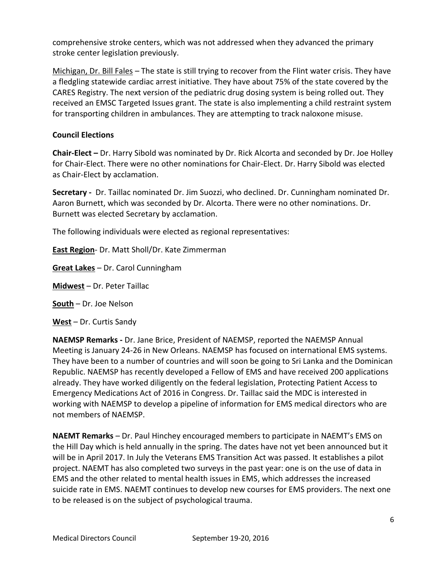comprehensive stroke centers, which was not addressed when they advanced the primary stroke center legislation previously.

Michigan, Dr. Bill Fales – The state is still trying to recover from the Flint water crisis. They have a fledgling statewide cardiac arrest initiative. They have about 75% of the state covered by the CARES Registry. The next version of the pediatric drug dosing system is being rolled out. They received an EMSC Targeted Issues grant. The state is also implementing a child restraint system for transporting children in ambulances. They are attempting to track naloxone misuse.

# **Council Elections**

**Chair-Elect –** Dr. Harry Sibold was nominated by Dr. Rick Alcorta and seconded by Dr. Joe Holley for Chair-Elect. There were no other nominations for Chair-Elect. Dr. Harry Sibold was elected as Chair-Elect by acclamation.

**Secretary -** Dr. Taillac nominated Dr. Jim Suozzi, who declined. Dr. Cunningham nominated Dr. Aaron Burnett, which was seconded by Dr. Alcorta. There were no other nominations. Dr. Burnett was elected Secretary by acclamation.

The following individuals were elected as regional representatives:

**East Region**- Dr. Matt Sholl/Dr. Kate Zimmerman

**Great Lakes** – Dr. Carol Cunningham

**Midwest** – Dr. Peter Taillac

# **South** – Dr. Joe Nelson

**West** – Dr. Curtis Sandy

**NAEMSP Remarks -** Dr. Jane Brice, President of NAEMSP, reported the NAEMSP Annual Meeting is January 24-26 in New Orleans. NAEMSP has focused on international EMS systems. They have been to a number of countries and will soon be going to Sri Lanka and the Dominican Republic. NAEMSP has recently developed a Fellow of EMS and have received 200 applications already. They have worked diligently on the federal legislation, Protecting Patient Access to Emergency Medications Act of 2016 in Congress. Dr. Taillac said the MDC is interested in working with NAEMSP to develop a pipeline of information for EMS medical directors who are not members of NAEMSP.

**NAEMT Remarks** – Dr. Paul Hinchey encouraged members to participate in NAEMT's EMS on the Hill Day which is held annually in the spring. The dates have not yet been announced but it will be in April 2017. In July the Veterans EMS Transition Act was passed. It establishes a pilot project. NAEMT has also completed two surveys in the past year: one is on the use of data in EMS and the other related to mental health issues in EMS, which addresses the increased suicide rate in EMS. NAEMT continues to develop new courses for EMS providers. The next one to be released is on the subject of psychological trauma.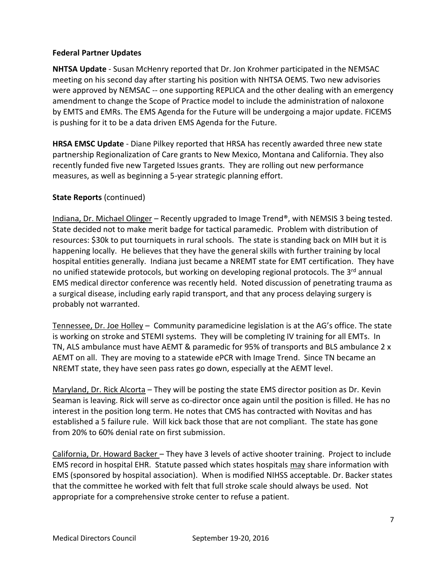#### **Federal Partner Updates**

**NHTSA Update** - Susan McHenry reported that Dr. Jon Krohmer participated in the NEMSAC meeting on his second day after starting his position with NHTSA OEMS. Two new advisories were approved by NEMSAC -- one supporting REPLICA and the other dealing with an emergency amendment to change the Scope of Practice model to include the administration of naloxone by EMTS and EMRs. The EMS Agenda for the Future will be undergoing a major update. FICEMS is pushing for it to be a data driven EMS Agenda for the Future.

**HRSA EMSC Update** - Diane Pilkey reported that HRSA has recently awarded three new state partnership Regionalization of Care grants to New Mexico, Montana and California. They also recently funded five new Targeted Issues grants. They are rolling out new performance measures, as well as beginning a 5-year strategic planning effort.

#### **State Reports** (continued)

Indiana, Dr. Michael Olinger – Recently upgraded to Image Trend®, with NEMSIS 3 being tested. State decided not to make merit badge for tactical paramedic. Problem with distribution of resources: \$30k to put tourniquets in rural schools. The state is standing back on MIH but it is happening locally. He believes that they have the general skills with further training by local hospital entities generally. Indiana just became a NREMT state for EMT certification. They have no unified statewide protocols, but working on developing regional protocols. The 3<sup>rd</sup> annual EMS medical director conference was recently held. Noted discussion of penetrating trauma as a surgical disease, including early rapid transport, and that any process delaying surgery is probably not warranted.

Tennessee, Dr. Joe Holley – Community paramedicine legislation is at the AG's office. The state is working on stroke and STEMI systems. They will be completing IV training for all EMTs. In TN, ALS ambulance must have AEMT & paramedic for 95% of transports and BLS ambulance 2 x AEMT on all. They are moving to a statewide ePCR with Image Trend. Since TN became an NREMT state, they have seen pass rates go down, especially at the AEMT level.

Maryland, Dr. Rick Alcorta – They will be posting the state EMS director position as Dr. Kevin Seaman is leaving. Rick will serve as co-director once again until the position is filled. He has no interest in the position long term. He notes that CMS has contracted with Novitas and has established a 5 failure rule. Will kick back those that are not compliant. The state has gone from 20% to 60% denial rate on first submission.

California, Dr. Howard Backer – They have 3 levels of active shooter training. Project to include EMS record in hospital EHR. Statute passed which states hospitals may share information with EMS (sponsored by hospital association). When is modified NIHSS acceptable. Dr. Backer states that the committee he worked with felt that full stroke scale should always be used. Not appropriate for a comprehensive stroke center to refuse a patient.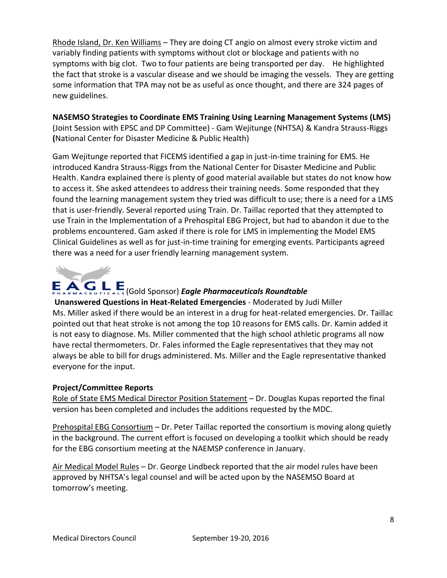Rhode Island, Dr. Ken Williams – They are doing CT angio on almost every stroke victim and variably finding patients with symptoms without clot or blockage and patients with no symptoms with big clot. Two to four patients are being transported per day. He highlighted the fact that stroke is a vascular disease and we should be imaging the vessels. They are getting some information that TPA may not be as useful as once thought, and there are 324 pages of new guidelines.

**NASEMSO Strategies to Coordinate EMS Training Using Learning Management Systems (LMS)** (Joint Session with EPSC and DP Committee) - Gam Wejitunge (NHTSA) & Kandra Strauss-Riggs **(**National Center for Disaster Medicine & Public Health)

Gam Wejitunge reported that FICEMS identified a gap in just-in-time training for EMS. He introduced Kandra Strauss-Riggs from the National Center for Disaster Medicine and Public Health. Kandra explained there is plenty of good material available but states do not know how to access it. She asked attendees to address their training needs. Some responded that they found the learning management system they tried was difficult to use; there is a need for a LMS that is user-friendly. Several reported using Train. Dr. Taillac reported that they attempted to use Train in the Implementation of a Prehospital EBG Project, but had to abandon it due to the problems encountered. Gam asked if there is role for LMS in implementing the Model EMS Clinical Guidelines as well as for just-in-time training for emerging events. Participants agreed there was a need for a user friendly learning management system.



# (Gold Sponsor) *Eagle Pharmaceuticals Roundtable*

**Unanswered Questions in Heat-Related Emergencies** - Moderated by Judi Miller Ms. Miller asked if there would be an interest in a drug for heat-related emergencies. Dr. Taillac pointed out that heat stroke is not among the top 10 reasons for EMS calls. Dr. Kamin added it is not easy to diagnose. Ms. Miller commented that the high school athletic programs all now have rectal thermometers. Dr. Fales informed the Eagle representatives that they may not always be able to bill for drugs administered. Ms. Miller and the Eagle representative thanked everyone for the input.

# **Project/Committee Reports**

Role of State EMS Medical Director Position Statement – Dr. Douglas Kupas reported the final version has been completed and includes the additions requested by the MDC.

Prehospital EBG Consortium – Dr. Peter Taillac reported the consortium is moving along quietly in the background. The current effort is focused on developing a toolkit which should be ready for the EBG consortium meeting at the NAEMSP conference in January.

Air Medical Model Rules – Dr. George Lindbeck reported that the air model rules have been approved by NHTSA's legal counsel and will be acted upon by the NASEMSO Board at tomorrow's meeting.